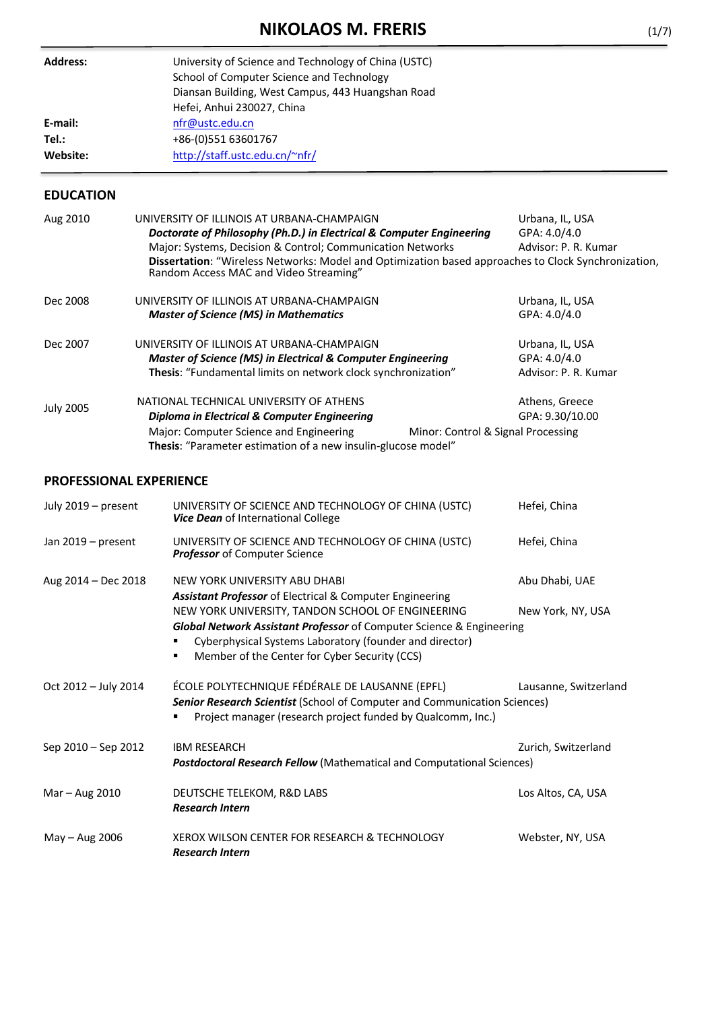# **NIKOLAOS M. FRERIS** (1/7)

| <b>Address:</b> | University of Science and Technology of China (USTC)<br>School of Computer Science and Technology<br>Diansan Building, West Campus, 443 Huangshan Road<br>Hefei, Anhui 230027, China |
|-----------------|--------------------------------------------------------------------------------------------------------------------------------------------------------------------------------------|
| E-mail:         | nfr@ustc.edu.cn                                                                                                                                                                      |
| Tel.:           | +86-(0)551 63601767                                                                                                                                                                  |
| Website:        | http://staff.ustc.edu.cn/~nfr/                                                                                                                                                       |

# **EDUCATION**

| Aug 2010         | UNIVERSITY OF ILLINOIS AT URBANA-CHAMPAIGN<br>Doctorate of Philosophy (Ph.D.) in Electrical & Computer Engineering<br>Major: Systems, Decision & Control; Communication Networks                                                                            | Urbana, IL, USA<br>GPA: 4.0/4.0<br>Advisor: P. R. Kumar |
|------------------|-------------------------------------------------------------------------------------------------------------------------------------------------------------------------------------------------------------------------------------------------------------|---------------------------------------------------------|
|                  | Dissertation: "Wireless Networks: Model and Optimization based approaches to Clock Synchronization,<br>Random Access MAC and Video Streaming"                                                                                                               |                                                         |
| Dec 2008         | UNIVERSITY OF ILLINOIS AT URBANA-CHAMPAIGN<br><b>Master of Science (MS) in Mathematics</b>                                                                                                                                                                  | Urbana, IL, USA<br>GPA: 4.0/4.0                         |
| Dec 2007         | UNIVERSITY OF ILLINOIS AT URBANA-CHAMPAIGN<br><b>Master of Science (MS) in Electrical &amp; Computer Engineering</b><br>Thesis: "Fundamental limits on network clock synchronization"                                                                       | Urbana, IL, USA<br>GPA: 4.0/4.0<br>Advisor: P. R. Kumar |
| <b>July 2005</b> | NATIONAL TECHNICAL UNIVERSITY OF ATHENS<br><b>Diploma in Electrical &amp; Computer Engineering</b><br>Major: Computer Science and Engineering<br>Minor: Control & Signal Processing<br><b>Thesis:</b> "Parameter estimation of a new insulin-glucose model" | Athens, Greece<br>GPA: 9.30/10.00                       |

# **PROFESSIONAL EXPERIENCE**

| July 2019 - present  | UNIVERSITY OF SCIENCE AND TECHNOLOGY OF CHINA (USTC)<br>Vice Dean of International College                                                                                                                                                 | Hefei, China          |
|----------------------|--------------------------------------------------------------------------------------------------------------------------------------------------------------------------------------------------------------------------------------------|-----------------------|
| Jan 2019 - present   | UNIVERSITY OF SCIENCE AND TECHNOLOGY OF CHINA (USTC)<br><b>Professor</b> of Computer Science                                                                                                                                               | Hefei, China          |
| Aug 2014 - Dec 2018  | NEW YORK UNIVERSITY ABU DHABI<br><b>Assistant Professor</b> of Electrical & Computer Engineering                                                                                                                                           | Abu Dhabi, UAE        |
|                      | NEW YORK UNIVERSITY, TANDON SCHOOL OF ENGINEERING<br>Global Network Assistant Professor of Computer Science & Engineering<br>Cyberphysical Systems Laboratory (founder and director)<br>Member of the Center for Cyber Security (CCS)<br>٠ | New York, NY, USA     |
| Oct 2012 - July 2014 | ÉCOLE POLYTECHNIQUE FÉDÉRALE DE LAUSANNE (EPFL)<br><b>Senior Research Scientist</b> (School of Computer and Communication Sciences)<br>Project manager (research project funded by Qualcomm, Inc.)                                         | Lausanne, Switzerland |
| Sep 2010 – Sep 2012  | <b>IBM RESEARCH</b><br><b>Postdoctoral Research Fellow</b> (Mathematical and Computational Sciences)                                                                                                                                       | Zurich, Switzerland   |
| Mar - Aug 2010       | DEUTSCHE TELEKOM, R&D LABS<br><b>Research Intern</b>                                                                                                                                                                                       | Los Altos, CA, USA    |
| May $-$ Aug 2006     | XEROX WILSON CENTER FOR RESEARCH & TECHNOLOGY<br><b>Research Intern</b>                                                                                                                                                                    | Webster, NY, USA      |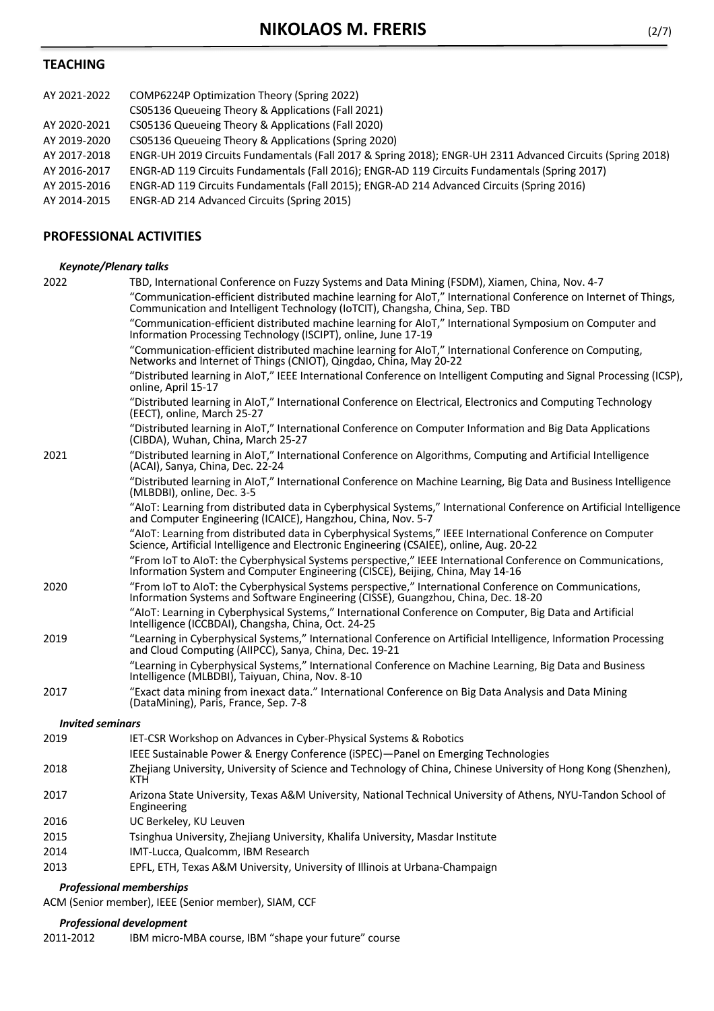# **TEACHING**

| AY 2021-2022 | COMP6224P Optimization Theory (Spring 2022)                                                                |
|--------------|------------------------------------------------------------------------------------------------------------|
|              | CS05136 Queueing Theory & Applications (Fall 2021)                                                         |
| AY 2020-2021 | CS05136 Queueing Theory & Applications (Fall 2020)                                                         |
| AY 2019-2020 | CS05136 Queueing Theory & Applications (Spring 2020)                                                       |
| AY 2017-2018 | ENGR-UH 2019 Circuits Fundamentals (Fall 2017 & Spring 2018); ENGR-UH 2311 Advanced Circuits (Spring 2018) |
| AY 2016-2017 | ENGR-AD 119 Circuits Fundamentals (Fall 2016); ENGR-AD 119 Circuits Fundamentals (Spring 2017)             |
| AY 2015-2016 | ENGR-AD 119 Circuits Fundamentals (Fall 2015); ENGR-AD 214 Advanced Circuits (Spring 2016)                 |
| AY 2014-2015 | ENGR-AD 214 Advanced Circuits (Spring 2015)                                                                |
|              |                                                                                                            |

# **PROFESSIONAL ACTIVITIES**

### *Keynote/Plenary talks*

|                         | <b>Professional memberships</b>                                                                                                                                                                        |
|-------------------------|--------------------------------------------------------------------------------------------------------------------------------------------------------------------------------------------------------|
| 2013                    | EPFL, ETH, Texas A&M University, University of Illinois at Urbana-Champaign                                                                                                                            |
| 2014                    | IMT-Lucca, Qualcomm, IBM Research                                                                                                                                                                      |
| 2015                    | Tsinghua University, Zhejiang University, Khalifa University, Masdar Institute                                                                                                                         |
| 2016                    | UC Berkeley, KU Leuven                                                                                                                                                                                 |
| 2017                    | Arizona State University, Texas A&M University, National Technical University of Athens, NYU-Tandon School of<br>Engineering                                                                           |
| 2018                    | Zhejiang University, University of Science and Technology of China, Chinese University of Hong Kong (Shenzhen),<br>KTH.                                                                                |
| 2019                    | IET-CSR Workshop on Advances in Cyber-Physical Systems & Robotics<br>IEEE Sustainable Power & Energy Conference (iSPEC)-Panel on Emerging Technologies                                                 |
| <b>Invited seminars</b> |                                                                                                                                                                                                        |
|                         | (DataMining), Paris, France, Sep. 7-8                                                                                                                                                                  |
| 2017                    | Intelligence (MLBDBI), Taiyuan, China, Nov. 8-10<br>"Exact data mining from inexact data." International Conference on Big Data Analysis and Data Mining                                               |
|                         | and Cloud Computing (AIIPCC), Sanya, China, Dec. 19-21<br>"Learning in Cyberphysical Systems," International Conference on Machine Learning, Big Data and Business                                     |
| 2019                    | "Learning in Cyberphysical Systems," International Conference on Artificial Intelligence, Information Processing                                                                                       |
|                         | "AIoT: Learning in Cyberphysical Systems," International Conference on Computer, Big Data and Artificial<br>Intelligence (ICCBDAI), Changsha, China, Oct. 24-25                                        |
| 2020                    | "From IoT to AIoT: the Cyberphysical Systems perspective," International Conference on Communications,<br>Information Systems and Software Engineering (CISSE), Guangzhou, China, Dec. 18-20           |
|                         | "From IoT to AIoT: the Cyberphysical Systems perspective," IEEE International Conference on Communications,<br>Information System and Computer Engineering (CISCE), Beijing, China, May 14-16          |
|                         | "AIoT: Learning from distributed data in Cyberphysical Systems," IEEE International Conference on Computer<br>Science, Artificial Intelligence and Electronic Engineering (CSAIEE), online, Aug. 20-22 |
|                         | "AloT: Learning from distributed data in Cyberphysical Systems," International Conference on Artificial Intelligence<br>and Computer Engineering (ICAICE), Hangzhou, China, Nov. 5-7                   |
|                         | "Distributed learning in AIoT," International Conference on Machine Learning, Big Data and Business Intelligence<br>(MLBDBI), online, Dec. 3-5                                                         |
| 2021                    | "Distributed learning in AIoT," International Conference on Algorithms, Computing and Artificial Intelligence<br>(ACAI), Sanya, China, Dec. 22-24                                                      |
|                         | "Distributed learning in AIoT," International Conference on Computer Information and Big Data Applications<br>(CIBDA), Wuhan, China, March 25-27                                                       |
|                         | "Distributed learning in AIoT," International Conference on Electrical, Electronics and Computing Technology<br>(EECT), online, March 25-27                                                            |
|                         | "Distributed learning in AIoT," IEEE International Conference on Intelligent Computing and Signal Processing (ICSP),<br>online, April 15-17                                                            |
|                         | "Communication-efficient distributed machine learning for AIoT," International Conference on Computing,<br>Networks and Internet of Things (CNIOT), Qingdao, China, May 20-22                          |
|                         | "Communication-efficient distributed machine learning for AIoT," International Symposium on Computer and<br>Information Processing Technology (ISCIPT), online, June 17-19                             |
|                         | "Communication-efficient distributed machine learning for AIoT," International Conference on Internet of Things,<br>Communication and Intelligent Technology (IoTCIT), Changsha, China, Sep. TBD       |
| 2022                    | TBD, International Conference on Fuzzy Systems and Data Mining (FSDM), Xiamen, China, Nov. 4-7                                                                                                         |

ACM (Senior member), IEEE (Senior member), SIAM, CCF

## *Professional development*

2011-2012 IBM micro-MBA course, IBM "shape your future" course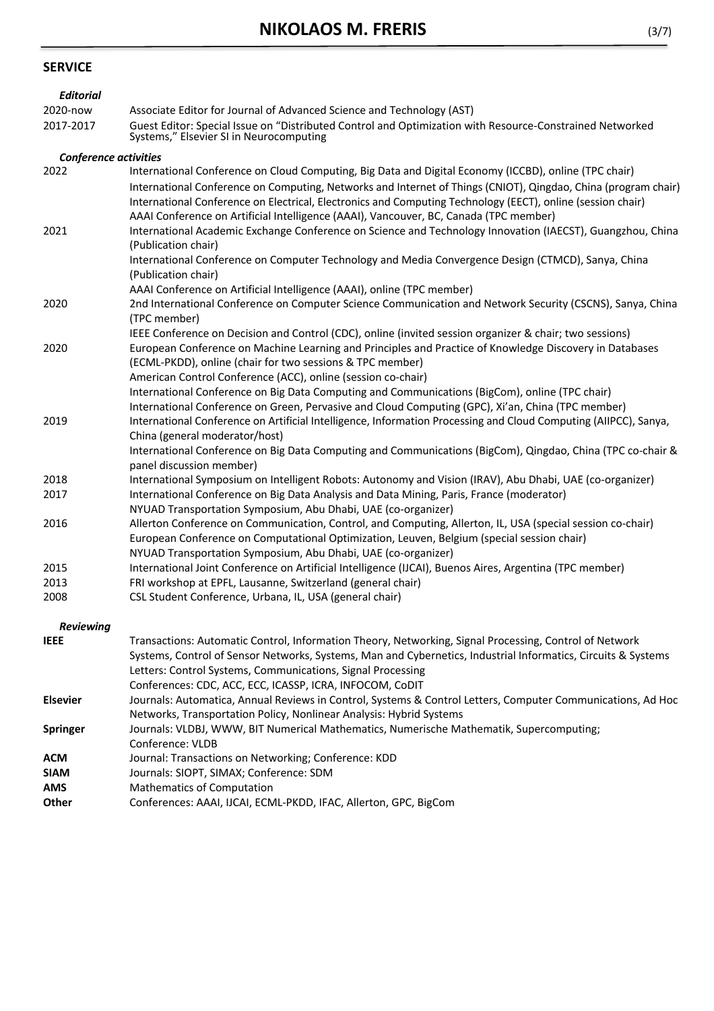# **SERVICE**

| <b>Editorial</b>             |                                                                                                                                                                                                                                                                                                                                                                                                                                             |
|------------------------------|---------------------------------------------------------------------------------------------------------------------------------------------------------------------------------------------------------------------------------------------------------------------------------------------------------------------------------------------------------------------------------------------------------------------------------------------|
| 2020-now                     | Associate Editor for Journal of Advanced Science and Technology (AST)                                                                                                                                                                                                                                                                                                                                                                       |
| 2017-2017                    | Guest Editor: Special Issue on "Distributed Control and Optimization with Resource-Constrained Networked<br>Systems," Elsevier SI in Neurocomputing                                                                                                                                                                                                                                                                                         |
| <b>Conference activities</b> |                                                                                                                                                                                                                                                                                                                                                                                                                                             |
| 2022                         | International Conference on Cloud Computing, Big Data and Digital Economy (ICCBD), online (TPC chair)<br>International Conference on Computing, Networks and Internet of Things (CNIOT), Qingdao, China (program chair)<br>International Conference on Electrical, Electronics and Computing Technology (EECT), online (session chair)<br>AAAI Conference on Artificial Intelligence (AAAI), Vancouver, BC, Canada (TPC member)             |
| 2021                         | International Academic Exchange Conference on Science and Technology Innovation (IAECST), Guangzhou, China<br>(Publication chair)<br>International Conference on Computer Technology and Media Convergence Design (CTMCD), Sanya, China<br>(Publication chair)<br>AAAI Conference on Artificial Intelligence (AAAI), online (TPC member)                                                                                                    |
| 2020                         | 2nd International Conference on Computer Science Communication and Network Security (CSCNS), Sanya, China<br>(TPC member)<br>IEEE Conference on Decision and Control (CDC), online (invited session organizer & chair; two sessions)                                                                                                                                                                                                        |
| 2020                         | European Conference on Machine Learning and Principles and Practice of Knowledge Discovery in Databases<br>(ECML-PKDD), online (chair for two sessions & TPC member)<br>American Control Conference (ACC), online (session co-chair)<br>International Conference on Big Data Computing and Communications (BigCom), online (TPC chair)<br>International Conference on Green, Pervasive and Cloud Computing (GPC), Xi'an, China (TPC member) |
| 2019                         | International Conference on Artificial Intelligence, Information Processing and Cloud Computing (AIIPCC), Sanya,<br>China (general moderator/host)<br>International Conference on Big Data Computing and Communications (BigCom), Qingdao, China (TPC co-chair &<br>panel discussion member)                                                                                                                                                |
| 2018                         | International Symposium on Intelligent Robots: Autonomy and Vision (IRAV), Abu Dhabi, UAE (co-organizer)                                                                                                                                                                                                                                                                                                                                    |
| 2017                         | International Conference on Big Data Analysis and Data Mining, Paris, France (moderator)<br>NYUAD Transportation Symposium, Abu Dhabi, UAE (co-organizer)                                                                                                                                                                                                                                                                                   |
| 2016                         | Allerton Conference on Communication, Control, and Computing, Allerton, IL, USA (special session co-chair)<br>European Conference on Computational Optimization, Leuven, Belgium (special session chair)<br>NYUAD Transportation Symposium, Abu Dhabi, UAE (co-organizer)                                                                                                                                                                   |
| 2015                         | International Joint Conference on Artificial Intelligence (IJCAI), Buenos Aires, Argentina (TPC member)                                                                                                                                                                                                                                                                                                                                     |
| 2013                         | FRI workshop at EPFL, Lausanne, Switzerland (general chair)                                                                                                                                                                                                                                                                                                                                                                                 |
| 2008                         | CSL Student Conference, Urbana, IL, USA (general chair)                                                                                                                                                                                                                                                                                                                                                                                     |
| Reviewing                    |                                                                                                                                                                                                                                                                                                                                                                                                                                             |
| <b>IEEE</b>                  | Transactions: Automatic Control, Information Theory, Networking, Signal Processing, Control of Network<br>Systems, Control of Sensor Networks, Systems, Man and Cybernetics, Industrial Informatics, Circuits & Systems<br>Letters: Control Systems, Communications, Signal Processing<br>Conferences: CDC, ACC, ECC, ICASSP, ICRA, INFOCOM, CoDIT                                                                                          |
| <b>Elsevier</b>              | Journals: Automatica, Annual Reviews in Control, Systems & Control Letters, Computer Communications, Ad Hoc<br>Networks, Transportation Policy, Nonlinear Analysis: Hybrid Systems                                                                                                                                                                                                                                                          |
| Springer                     | Journals: VLDBJ, WWW, BIT Numerical Mathematics, Numerische Mathematik, Supercomputing;<br>Conference: VLDB                                                                                                                                                                                                                                                                                                                                 |
| <b>ACM</b>                   | Journal: Transactions on Networking; Conference: KDD                                                                                                                                                                                                                                                                                                                                                                                        |
| <b>SIAM</b>                  | Journals: SIOPT, SIMAX; Conference: SDM                                                                                                                                                                                                                                                                                                                                                                                                     |
| <b>AMS</b>                   | <b>Mathematics of Computation</b>                                                                                                                                                                                                                                                                                                                                                                                                           |
| Other                        | Conferences: AAAI, IJCAI, ECML-PKDD, IFAC, Allerton, GPC, BigCom                                                                                                                                                                                                                                                                                                                                                                            |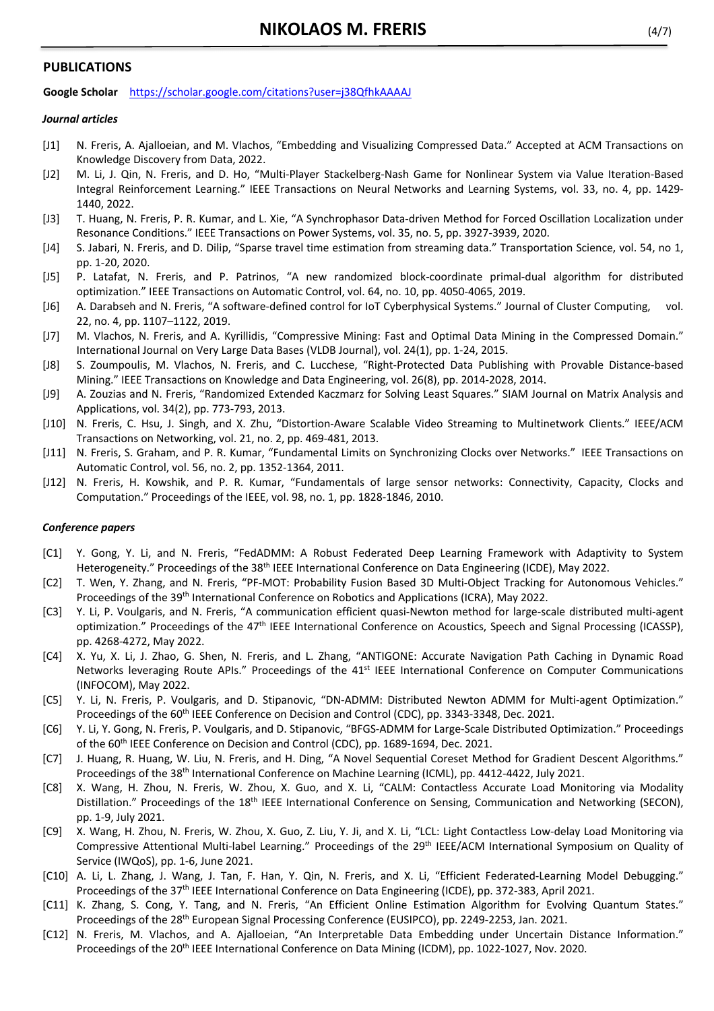### **PUBLICATIONS**

**Google Scholar** https://scholar.google.com/citations?user=j38QfhkAAAAJ

#### *Journal articles*

- [J1] N. Freris, A. Ajalloeian, and M. Vlachos, "Embedding and Visualizing Compressed Data." Accepted at ACM Transactions on Knowledge Discovery from Data, 2022.
- [J2] M. Li, J. Qin, N. Freris, and D. Ho, "Multi-Player Stackelberg-Nash Game for Nonlinear System via Value Iteration-Based Integral Reinforcement Learning." IEEE Transactions on Neural Networks and Learning Systems, vol. 33, no. 4, pp. 1429- 1440, 2022.
- [J3] T. Huang, N. Freris, P. R. Kumar, and L. Xie, "A Synchrophasor Data-driven Method for Forced Oscillation Localization under Resonance Conditions." IEEE Transactions on Power Systems, vol. 35, no. 5, pp. 3927-3939, 2020.
- [J4] S. Jabari, N. Freris, and D. Dilip, "Sparse travel time estimation from streaming data." Transportation Science, vol. 54, no 1, pp. 1-20, 2020.
- [J5] P. Latafat, N. Freris, and P. Patrinos, "A new randomized block-coordinate primal-dual algorithm for distributed optimization." IEEE Transactions on Automatic Control, vol. 64, no. 10, pp. 4050-4065, 2019.
- [J6] A. Darabseh and N. Freris, "A software-defined control for IoT Cyberphysical Systems." Journal of Cluster Computing, vol. 22, no. 4, pp. 1107–1122, 2019.
- [J7] M. Vlachos, N. Freris, and A. Kyrillidis, "Compressive Mining: Fast and Optimal Data Mining in the Compressed Domain." International Journal on Very Large Data Bases (VLDB Journal), vol. 24(1), pp. 1-24, 2015.
- [J8] S. Zoumpoulis, M. Vlachos, N. Freris, and C. Lucchese, "Right-Protected Data Publishing with Provable Distance-based Mining." IEEE Transactions on Knowledge and Data Engineering, vol. 26(8), pp. 2014-2028, 2014.
- [J9] A. Zouzias and N. Freris, "Randomized Extended Kaczmarz for Solving Least Squares." SIAM Journal on Matrix Analysis and Applications, vol. 34(2), pp. 773-793, 2013.
- [J10] N. Freris, C. Hsu, J. Singh, and X. Zhu, "Distortion-Aware Scalable Video Streaming to Multinetwork Clients." IEEE/ACM Transactions on Networking, vol. 21, no. 2, pp. 469-481, 2013.
- [J11] N. Freris, S. Graham, and P. R. Kumar, "Fundamental Limits on Synchronizing Clocks over Networks." IEEE Transactions on Automatic Control, vol. 56, no. 2, pp. 1352-1364, 2011.
- [J12] N. Freris, H. Kowshik, and P. R. Kumar, "Fundamentals of large sensor networks: Connectivity, Capacity, Clocks and Computation." Proceedings of the IEEE, vol. 98, no. 1, pp. 1828-1846, 2010.

#### *Conference papers*

- [C1] Y. Gong, Y. Li, and N. Freris, "FedADMM: A Robust Federated Deep Learning Framework with Adaptivity to System Heterogeneity." Proceedings of the 38<sup>th</sup> IEEE International Conference on Data Engineering (ICDE), May 2022.
- [C2] T. Wen, Y. Zhang, and N. Freris, "PF-MOT: Probability Fusion Based 3D Multi-Object Tracking for Autonomous Vehicles." Proceedings of the 39<sup>th</sup> International Conference on Robotics and Applications (ICRA), May 2022.
- [C3] Y. Li, P. Voulgaris, and N. Freris, "A communication efficient quasi-Newton method for large-scale distributed multi-agent optimization." Proceedings of the 47<sup>th</sup> IEEE International Conference on Acoustics, Speech and Signal Processing (ICASSP), pp. 4268-4272, May 2022.
- [C4] X. Yu, X. Li, J. Zhao, G. Shen, N. Freris, and L. Zhang, "ANTIGONE: Accurate Navigation Path Caching in Dynamic Road Networks leveraging Route APIs." Proceedings of the 41<sup>st</sup> IEEE International Conference on Computer Communications (INFOCOM), May 2022.
- [C5] Y. Li, N. Freris, P. Voulgaris, and D. Stipanovic, "DN-ADMM: Distributed Newton ADMM for Multi-agent Optimization." Proceedings of the 60<sup>th</sup> IEEE Conference on Decision and Control (CDC), pp. 3343-3348, Dec. 2021.
- [C6] Y. Li, Y. Gong, N. Freris, P. Voulgaris, and D. Stipanovic, "BFGS-ADMM for Large-Scale Distributed Optimization." Proceedings of the 60th IEEE Conference on Decision and Control (CDC), pp. 1689-1694, Dec. 2021.
- [C7] J. Huang, R. Huang, W. Liu, N. Freris, and H. Ding, "A Novel Sequential Coreset Method for Gradient Descent Algorithms." Proceedings of the 38<sup>th</sup> International Conference on Machine Learning (ICML), pp. 4412-4422, July 2021.
- [C8] X. Wang, H. Zhou, N. Freris, W. Zhou, X. Guo, and X. Li, "CALM: Contactless Accurate Load Monitoring via Modality Distillation." Proceedings of the 18<sup>th</sup> IEEE International Conference on Sensing, Communication and Networking (SECON), pp. 1-9, July 2021.
- [C9] X. Wang, H. Zhou, N. Freris, W. Zhou, X. Guo, Z. Liu, Y. Ji, and X. Li, "LCL: Light Contactless Low-delay Load Monitoring via Compressive Attentional Multi-label Learning." Proceedings of the 29<sup>th</sup> IEEE/ACM International Symposium on Quality of Service (IWQoS), pp. 1-6, June 2021.
- [C10] A. Li, L. Zhang, J. Wang, J. Tan, F. Han, Y. Qin, N. Freris, and X. Li, "Efficient Federated-Learning Model Debugging." Proceedings of the 37<sup>th</sup> IEEE International Conference on Data Engineering (ICDE), pp. 372-383, April 2021.
- [C11] K. Zhang, S. Cong, Y. Tang, and N. Freris, "An Efficient Online Estimation Algorithm for Evolving Quantum States." Proceedings of the 28th European Signal Processing Conference (EUSIPCO), pp. 2249-2253, Jan. 2021.
- [C12] N. Freris, M. Vlachos, and A. Ajalloeian, "An Interpretable Data Embedding under Uncertain Distance Information." Proceedings of the 20<sup>th</sup> IEEE International Conference on Data Mining (ICDM), pp. 1022-1027, Nov. 2020.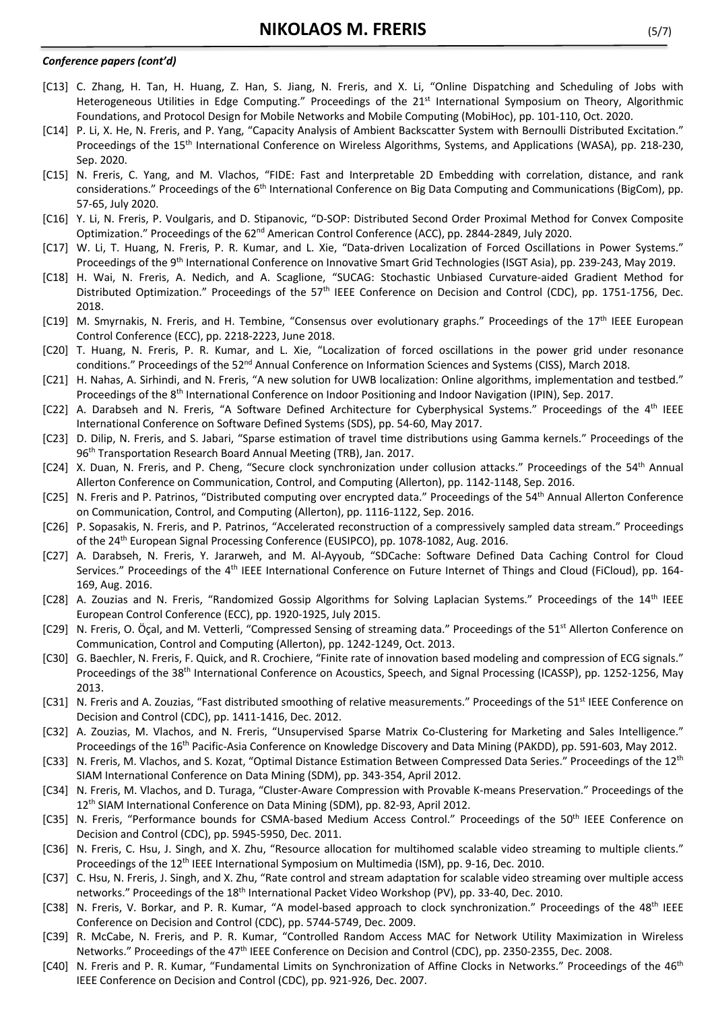### *Conference papers (cont'd)*

- [C13] C. Zhang, H. Tan, H. Huang, Z. Han, S. Jiang, N. Freris, and X. Li, "Online Dispatching and Scheduling of Jobs with Heterogeneous Utilities in Edge Computing." Proceedings of the 21<sup>st</sup> International Symposium on Theory, Algorithmic Foundations, and Protocol Design for Mobile Networks and Mobile Computing (MobiHoc), pp. 101-110, Oct. 2020.
- [C14] P. Li, X. He, N. Freris, and P. Yang, "Capacity Analysis of Ambient Backscatter System with Bernoulli Distributed Excitation." Proceedings of the 15<sup>th</sup> International Conference on Wireless Algorithms, Systems, and Applications (WASA), pp. 218-230, Sep. 2020.
- [C15] N. Freris, C. Yang, and M. Vlachos, "FIDE: Fast and Interpretable 2D Embedding with correlation, distance, and rank considerations." Proceedings of the 6<sup>th</sup> International Conference on Big Data Computing and Communications (BigCom), pp. 57-65, July 2020.
- [C16] Y. Li, N. Freris, P. Voulgaris, and D. Stipanovic, "D-SOP: Distributed Second Order Proximal Method for Convex Composite Optimization." Proceedings of the 62<sup>nd</sup> American Control Conference (ACC), pp. 2844-2849, July 2020.
- [C17] W. Li, T. Huang, N. Freris, P. R. Kumar, and L. Xie, "Data-driven Localization of Forced Oscillations in Power Systems." Proceedings of the 9th International Conference on Innovative Smart Grid Technologies (ISGT Asia), pp. 239-243, May 2019.
- [C18] H. Wai, N. Freris, A. Nedich, and A. Scaglione, "SUCAG: Stochastic Unbiased Curvature-aided Gradient Method for Distributed Optimization." Proceedings of the 57<sup>th</sup> IEEE Conference on Decision and Control (CDC), pp. 1751-1756, Dec. 2018.
- [C19] M. Smyrnakis, N. Freris, and H. Tembine, "Consensus over evolutionary graphs." Proceedings of the 17<sup>th</sup> IEEE European Control Conference (ECC), pp. 2218-2223, June 2018.
- [C20] T. Huang, N. Freris, P. R. Kumar, and L. Xie, "Localization of forced oscillations in the power grid under resonance conditions." Proceedings of the 52<sup>nd</sup> Annual Conference on Information Sciences and Systems (CISS), March 2018.
- [C21] H. Nahas, A. Sirhindi, and N. Freris, "A new solution for UWB localization: Online algorithms, implementation and testbed." Proceedings of the 8th International Conference on Indoor Positioning and Indoor Navigation (IPIN), Sep. 2017.
- [C22] A. Darabseh and N. Freris, "A Software Defined Architecture for Cyberphysical Systems." Proceedings of the 4th IEEE International Conference on Software Defined Systems (SDS), pp. 54-60, May 2017.
- [C23] D. Dilip, N. Freris, and S. Jabari, "Sparse estimation of travel time distributions using Gamma kernels." Proceedings of the 96<sup>th</sup> Transportation Research Board Annual Meeting (TRB), Jan. 2017.
- [C24] X. Duan, N. Freris, and P. Cheng, "Secure clock synchronization under collusion attacks." Proceedings of the 54<sup>th</sup> Annual Allerton Conference on Communication, Control, and Computing (Allerton), pp. 1142-1148, Sep. 2016.
- [C25] N. Freris and P. Patrinos, "Distributed computing over encrypted data." Proceedings of the 54<sup>th</sup> Annual Allerton Conference on Communication, Control, and Computing (Allerton), pp. 1116-1122, Sep. 2016.
- [C26] P. Sopasakis, N. Freris, and P. Patrinos, "Accelerated reconstruction of a compressively sampled data stream." Proceedings of the 24th European Signal Processing Conference (EUSIPCO), pp. 1078-1082, Aug. 2016.
- [C27] A. Darabseh, N. Freris, Y. Jararweh, and M. Al-Ayyoub, "SDCache: Software Defined Data Caching Control for Cloud Services." Proceedings of the 4<sup>th</sup> IEEE International Conference on Future Internet of Things and Cloud (FiCloud), pp. 164-169, Aug. 2016.
- [C28] A. Zouzias and N. Freris, "Randomized Gossip Algorithms for Solving Laplacian Systems." Proceedings of the 14th IEEE European Control Conference (ECC), pp. 1920-1925, July 2015.
- [C29] N. Freris, O. Öçal, and M. Vetterli, "Compressed Sensing of streaming data." Proceedings of the 51<sup>st</sup> Allerton Conference on Communication, Control and Computing (Allerton), pp. 1242-1249, Oct. 2013.
- [C30] G. Baechler, N. Freris, F. Quick, and R. Crochiere, "Finite rate of innovation based modeling and compression of ECG signals." Proceedings of the 38<sup>th</sup> International Conference on Acoustics, Speech, and Signal Processing (ICASSP), pp. 1252-1256, May 2013.
- [C31] N. Freris and A. Zouzias, "Fast distributed smoothing of relative measurements." Proceedings of the 51<sup>st</sup> IEEE Conference on Decision and Control (CDC), pp. 1411-1416, Dec. 2012.
- [C32] A. Zouzias, M. Vlachos, and N. Freris, "Unsupervised Sparse Matrix Co-Clustering for Marketing and Sales Intelligence." Proceedings of the 16<sup>th</sup> Pacific-Asia Conference on Knowledge Discovery and Data Mining (PAKDD), pp. 591-603, May 2012.
- [C33] N. Freris, M. Vlachos, and S. Kozat, "Optimal Distance Estimation Between Compressed Data Series." Proceedings of the 12<sup>th</sup> SIAM International Conference on Data Mining (SDM), pp. 343-354, April 2012.
- [C34] N. Freris, M. Vlachos, and D. Turaga, "Cluster-Aware Compression with Provable K-means Preservation." Proceedings of the 12<sup>th</sup> SIAM International Conference on Data Mining (SDM), pp. 82-93, April 2012.
- [C35] N. Freris, "Performance bounds for CSMA-based Medium Access Control." Proceedings of the 50<sup>th</sup> IEEE Conference on Decision and Control (CDC), pp. 5945-5950, Dec. 2011.
- [C36] N. Freris, C. Hsu, J. Singh, and X. Zhu, "Resource allocation for multihomed scalable video streaming to multiple clients." Proceedings of the 12th IEEE International Symposium on Multimedia (ISM), pp. 9-16, Dec. 2010.
- [C37] C. Hsu, N. Freris, J. Singh, and X. Zhu, "Rate control and stream adaptation for scalable video streaming over multiple access networks." Proceedings of the 18th International Packet Video Workshop (PV), pp. 33-40, Dec. 2010.
- [C38] N. Freris, V. Borkar, and P. R. Kumar, "A model-based approach to clock synchronization." Proceedings of the 48<sup>th</sup> IEEE Conference on Decision and Control (CDC), pp. 5744-5749, Dec. 2009.
- [C39] R. McCabe, N. Freris, and P. R. Kumar, "Controlled Random Access MAC for Network Utility Maximization in Wireless Networks." Proceedings of the 47<sup>th</sup> IEEE Conference on Decision and Control (CDC), pp. 2350-2355, Dec. 2008.
- [C40] N. Freris and P. R. Kumar, "Fundamental Limits on Synchronization of Affine Clocks in Networks." Proceedings of the 46<sup>th</sup> IEEE Conference on Decision and Control (CDC), pp. 921-926, Dec. 2007.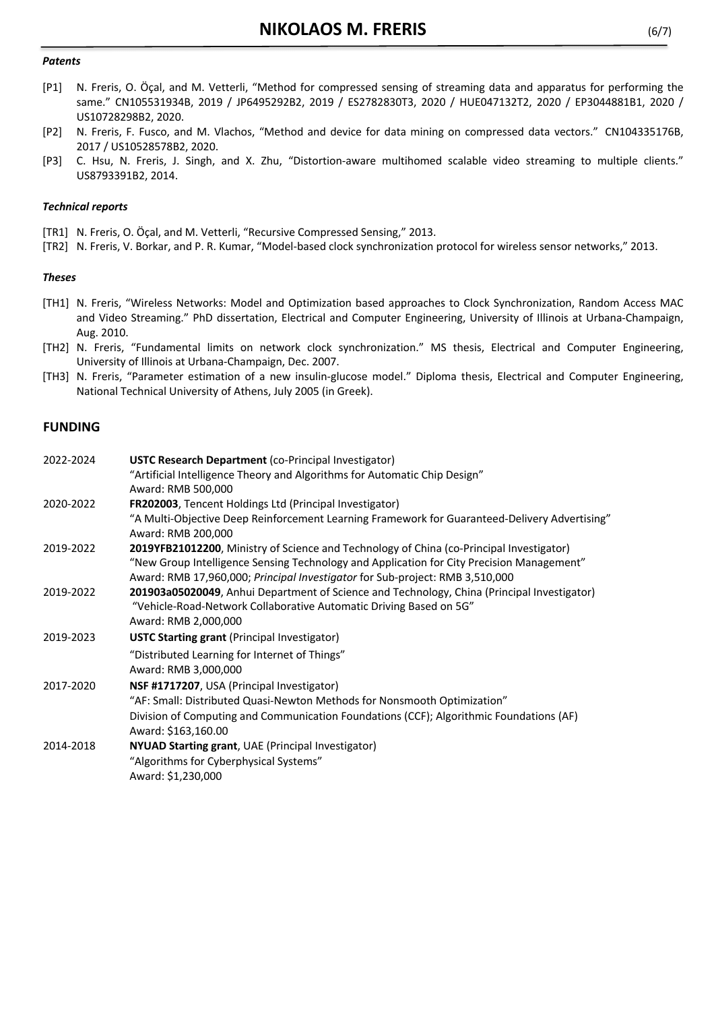### *Patents*

- [P1] N. Freris, O. Öçal, and M. Vetterli, "Method for compressed sensing of streaming data and apparatus for performing the same." CN105531934B, 2019 / JP6495292B2, 2019 / ES2782830T3, 2020 / HUE047132T2, 2020 / EP3044881B1, 2020 / US10728298B2, 2020.
- [P2] N. Freris, F. Fusco, and M. Vlachos, "Method and device for data mining on compressed data vectors." CN104335176B, 2017 / US10528578B2, 2020.
- [P3] C. Hsu, N. Freris, J. Singh, and X. Zhu, "Distortion-aware multihomed scalable video streaming to multiple clients." US8793391B2, 2014.

### *Technical reports*

- [TR1] N. Freris, O. Öçal, and M. Vetterli, "Recursive Compressed Sensing," 2013.
- [TR2] N. Freris, V. Borkar, and P. R. Kumar, "Model-based clock synchronization protocol for wireless sensor networks," 2013.

#### *Theses*

- [TH1] N. Freris, "Wireless Networks: Model and Optimization based approaches to Clock Synchronization, Random Access MAC and Video Streaming." PhD dissertation, Electrical and Computer Engineering, University of Illinois at Urbana-Champaign, Aug. 2010.
- [TH2] N. Freris, "Fundamental limits on network clock synchronization." MS thesis, Electrical and Computer Engineering, University of Illinois at Urbana-Champaign, Dec. 2007.
- [TH3] N. Freris, "Parameter estimation of a new insulin-glucose model." Diploma thesis, Electrical and Computer Engineering, National Technical University of Athens, July 2005 (in Greek).

### **FUNDING**

| 2022-2024 | <b>USTC Research Department (co-Principal Investigator)</b>                                   |
|-----------|-----------------------------------------------------------------------------------------------|
|           | "Artificial Intelligence Theory and Algorithms for Automatic Chip Design"                     |
|           | Award: RMB 500,000                                                                            |
| 2020-2022 | FR202003, Tencent Holdings Ltd (Principal Investigator)                                       |
|           | "A Multi-Objective Deep Reinforcement Learning Framework for Guaranteed-Delivery Advertising" |
|           | Award: RMB 200,000                                                                            |
| 2019-2022 | 2019YFB21012200, Ministry of Science and Technology of China (co-Principal Investigator)      |
|           | "New Group Intelligence Sensing Technology and Application for City Precision Management"     |
|           | Award: RMB 17,960,000; Principal Investigator for Sub-project: RMB 3,510,000                  |
| 2019-2022 | 201903a05020049, Anhui Department of Science and Technology, China (Principal Investigator)   |
|           | "Vehicle-Road-Network Collaborative Automatic Driving Based on 5G"                            |
|           | Award: RMB 2,000,000                                                                          |
| 2019-2023 | <b>USTC Starting grant</b> (Principal Investigator)                                           |
|           | "Distributed Learning for Internet of Things"                                                 |
|           | Award: RMB 3,000,000                                                                          |
| 2017-2020 | NSF #1717207, USA (Principal Investigator)                                                    |
|           | "AF: Small: Distributed Quasi-Newton Methods for Nonsmooth Optimization"                      |
|           | Division of Computing and Communication Foundations (CCF); Algorithmic Foundations (AF)       |
|           | Award: \$163,160.00                                                                           |
| 2014-2018 | NYUAD Starting grant, UAE (Principal Investigator)                                            |
|           | "Algorithms for Cyberphysical Systems"                                                        |
|           | Award: \$1,230,000                                                                            |